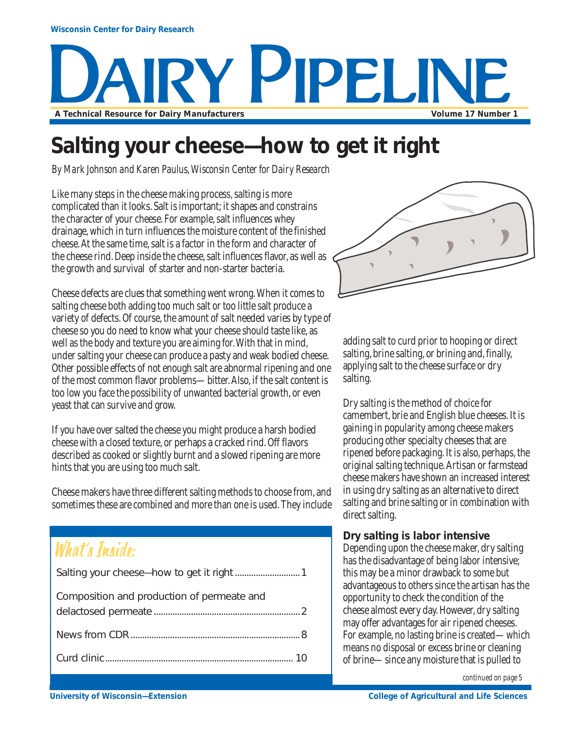# Y PIPELIN **A Technical Resource for Dairy Manufacturers Volume 17 Number 1**

### **Salting your cheese—how to get it right**

*By Mark Johnson and Karen Paulus, Wisconsin Center for Dairy Research*

Like many steps in the cheese making process, salting is more complicated than it looks. Salt is important; it shapes and constrains the character of your cheese. For example, salt influences whey drainage, which in turn influences the moisture content of the finished cheese. At the same time, salt is a factor in the form and character of the cheese rind. Deep inside the cheese, salt influences flavor, as well as the growth and survival of starter and non-starter bacteria.

Cheese defects are clues that something went wrong. When it comes to salting cheese both adding too much salt or too little salt produce a variety of defects. Of course, the amount of salt needed varies by type of cheese so you do need to know what your cheese should taste like, as well as the body and texture you are aiming for. With that in mind, under salting your cheese can produce a pasty and weak bodied cheese. Other possible effects of not enough salt are abnormal ripening and one of the most common flavor problems—bitter. Also, if the salt content is too low you face the possibility of unwanted bacterial growth, or even yeast that can survive and grow.

If you have over salted the cheese you might produce a harsh bodied cheese with a closed texture, or perhaps a cracked rind. Off flavors described as cooked or slightly burnt and a slowed ripening are more hints that you are using too much salt.

Cheese makers have three different salting methods to choose from, and sometimes these are combined and more than one is used. They include

### What's Inside:

| Composition and production of permeate and |
|--------------------------------------------|
|                                            |
|                                            |



adding salt to curd prior to hooping or direct salting, brine salting, or brining and, finally, applying salt to the cheese surface or dry salting.

Dry salting is the method of choice for camembert, brie and English blue cheeses. It is gaining in popularity among cheese makers producing other specialty cheeses that are ripened before packaging. It is also, perhaps, the original salting technique. Artisan or farmstead cheese makers have shown an increased interest in using dry salting as an alternative to direct salting and brine salting or in combination with direct salting.

#### **Dry salting is labor intensive**

Depending upon the cheese maker, dry salting has the disadvantage of being labor intensive; this may be a minor drawback to some but advantageous to others since the artisan has the opportunity to check the condition of the cheese almost every day. However, dry salting may offer advantages for air ripened cheeses. For example, no lasting brine is created—which means no disposal or excess brine or cleaning of brine—since any moisture that is pulled to

*continued on page 5*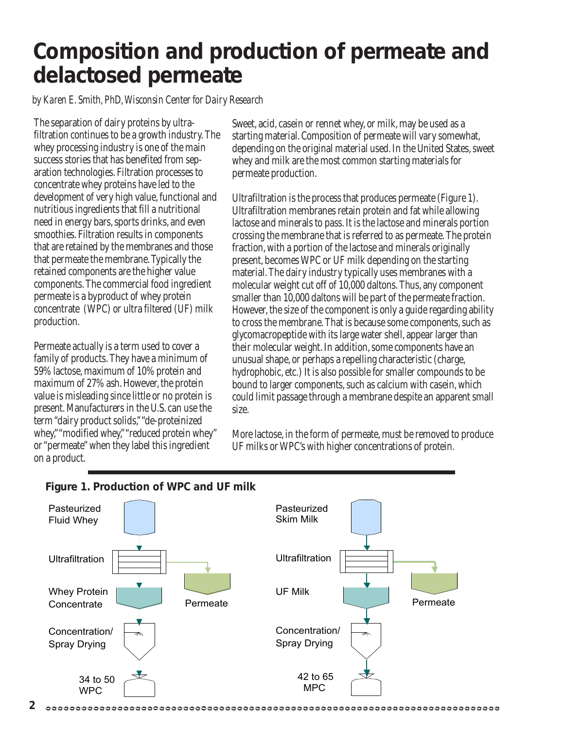### **Composition and production of permeate and delactosed permeate**

*by Karen E. Smith, PhD, Wisconsin Center for Dairy Research*

The separation of dairy proteins by ultrafiltration continues to be a growth industry. The whey processing industry is one of the main success stories that has benefited from separation technologies. Filtration processes to concentrate whey proteins have led to the development of very high value, functional and nutritious ingredients that fill a nutritional need in energy bars, sports drinks, and even smoothies. Filtration results in components that are retained by the membranes and those that permeate the membrane. Typically the retained components are the higher value components. The commercial food ingredient permeate is a byproduct of whey protein concentrate (WPC) or ultra filtered (UF) milk production.

Permeate actually is a term used to cover a family of products. They have a minimum of 59% lactose, maximum of 10% protein and maximum of 27% ash. However, the protein value is misleading since little or no protein is present. Manufacturers in the U.S. can use the term "dairy product solids," "de-proteinized whey," "modified whey," "reduced protein whey" or "permeate" when they label this ingredient on a product.

Sweet, acid, casein or rennet whey, or milk, may be used as a starting material. Composition of permeate will vary somewhat, depending on the original material used. In the United States, sweet whey and milk are the most common starting materials for permeate production.

Ultrafiltration is the process that produces permeate (Figure 1). Ultrafiltration membranes retain protein and fat while allowing lactose and minerals to pass. It is the lactose and minerals portion crossing the membrane that is referred to as permeate. The protein fraction, with a portion of the lactose and minerals originally present, becomes WPC or UF milk depending on the starting material. The dairy industry typically uses membranes with a molecular weight cut off of 10,000 daltons. Thus, any component smaller than 10,000 daltons will be part of the permeate fraction. However, the size of the component is only a guide regarding ability to cross the membrane. That is because some components, such as glycomacropeptide with its large water shell, appear larger than their molecular weight. In addition, some components have an unusual shape, or perhaps a repelling characteristic (charge, hydrophobic, etc.) It is also possible for smaller compounds to be bound to larger components, such as calcium with casein, which could limit passage through a membrane despite an apparent small size.

More lactose, in the form of permeate, must be removed to produce UF milks or WPC's with higher concentrations of protein.



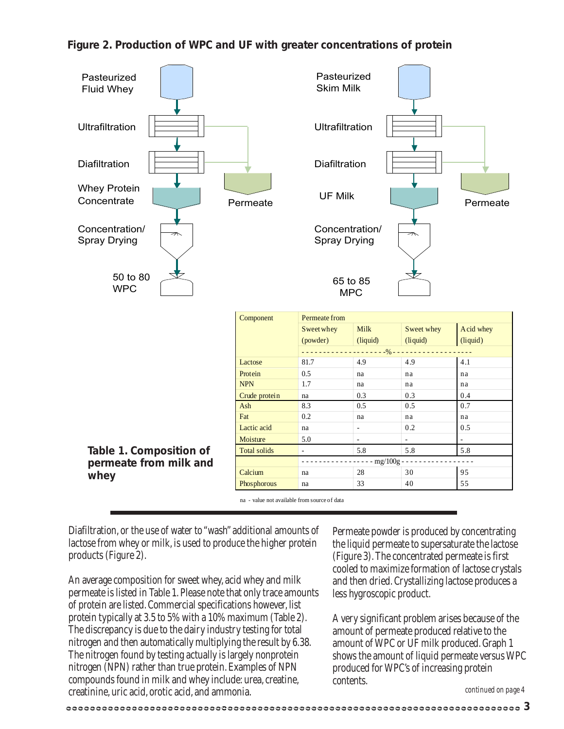#### **Figure 2. Production of WPC and UF with greater concentrations of protein**



na - value not available from source of data

Diafiltration, or the use of water to "wash" additional amounts of lactose from whey or milk, is used to produce the higher protein products (Figure 2).

An average composition for sweet whey, acid whey and milk permeate is listed in Table 1. Please note that only trace amounts of protein are listed. Commercial specifications however, list protein typically at 3.5 to 5% with a 10% maximum (Table 2). The discrepancy is due to the dairy industry testing for total nitrogen and then automatically multiplying the result by 6.38. The nitrogen found by testing actually is largely nonprotein nitrogen (NPN) rather than true protein. Examples of NPN compounds found in milk and whey include: urea, creatine, creatinine, uric acid, orotic acid, and ammonia.

Permeate powder is produced by concentrating the liquid permeate to supersaturate the lactose (Figure 3). The concentrated permeate is first cooled to maximize formation of lactose crystals and then dried. Crystallizing lactose produces a less hygroscopic product.

A very significant problem arises because of the amount of permeate produced relative to the amount of WPC or UF milk produced. Graph 1 shows the amount of liquid permeate versus WPC produced for WPC's of increasing protein contents.

*continued on page 4*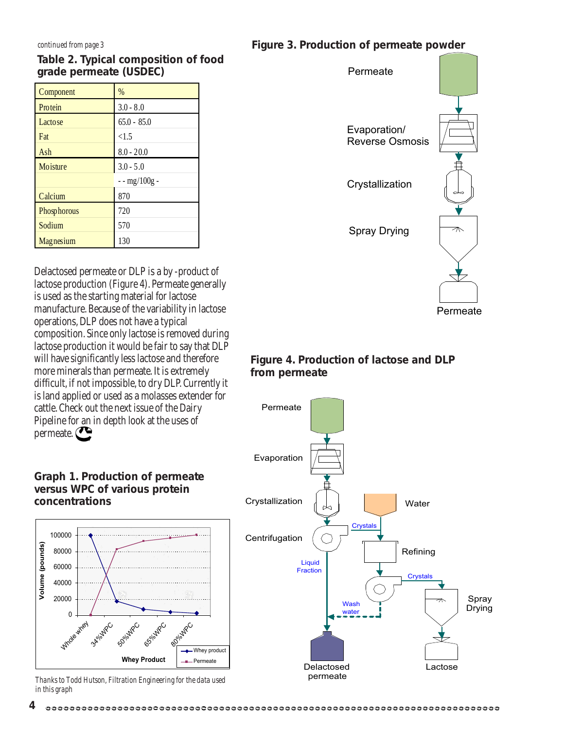#### **Table 2. Typical composition of food grade permeate (USDEC)**

| Component      | $\%$            |
|----------------|-----------------|
| Protein        | $3.0 - 8.0$     |
| <b>Lactose</b> | $65.0 - 85.0$   |
| Fat            | < 1.5           |
| Ash            | $8.0 - 20.0$    |
| Moisture       | $3.0 - 5.0$     |
|                | $-$ - mg/100g - |
| Calcium        | 870             |
| Phosphorous    | 720             |
| Sodium         | 570             |
| Magnesium      | 130             |

Delactosed permeate or DLP is a by -product of lactose production (Figure 4). Permeate generally is used as the starting material for lactose manufacture. Because of the variability in lactose operations, DLP does not have a typical composition. Since only lactose is removed during lactose production it would be fair to say that DLP will have significantly less lactose and therefore more minerals than permeate. It is extremely difficult, if not impossible, to dry DLP. Currently it is land applied or used as a molasses extender for cattle. Check out the next issue of the Dairy Pipeline for an in depth look at the uses of permeate.

#### **Graph 1. Production of permeate versus WPC of various protein concentrations**



*Thanks to Todd Hutson, Filtration Engineering for the data used in this graph*



Permeate

#### **Figure 4. Production of lactose and DLP from permeate**



#### *continued from page 3* **Figure 3. Production of permeate powder**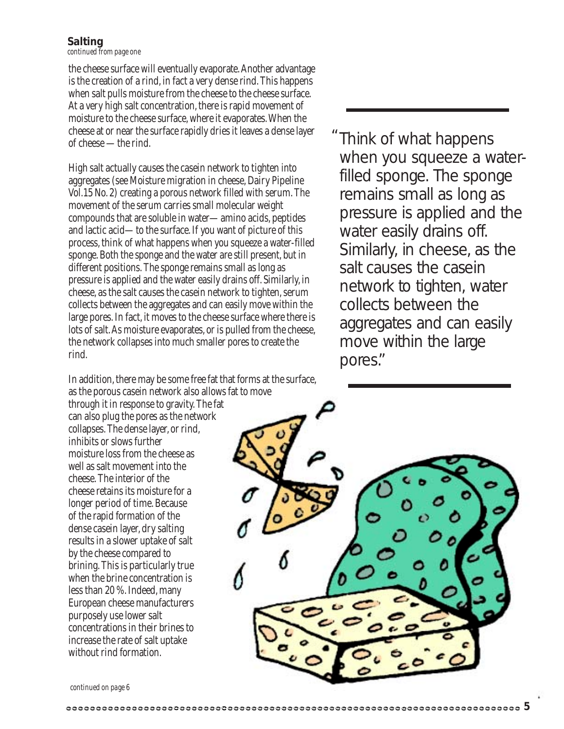#### **Salting**

*continued from page one*

the cheese surface will eventually evaporate. Another advantage is the creation of a rind, in fact a very dense rind. This happens when salt pulls moisture from the cheese to the cheese surface. At a very high salt concentration, there is rapid movement of moisture to the cheese surface, where it evaporates. When the cheese at or near the surface rapidly dries it leaves a dense layer of cheese —the rind.

High salt actually causes the casein network to tighten into aggregates (see Moisture migration in cheese, Dairy Pipeline Vol.15 No. 2) creating a porous network filled with serum. The movement of the serum carries small molecular weight compounds that are soluble in water—amino acids, peptides and lactic acid—to the surface. If you want of picture of this process, think of what happens when you squeeze a water-filled sponge. Both the sponge and the water are still present, but in different positions. The sponge remains small as long as pressure is applied and the water easily drains off. Similarly, in cheese, as the salt causes the casein network to tighten, serum collects between the aggregates and can easily move within the large pores. In fact, it moves to the cheese surface where there is lots of salt. As moisture evaporates, or is pulled from the cheese, the network collapses into much smaller pores to create the rind.

In addition, there may be some free fat that forms at the surface, as the porous casein network also allows fat to move

through it in response to gravity. The fat can also plug the pores as the network collapses. The dense layer, or rind, inhibits or slows further moisture loss from the cheese as well as salt movement into the cheese. The interior of the cheese retains its moisture for a longer period of time. Because of the rapid formation of the dense casein layer, dry salting results in a slower uptake of salt by the cheese compared to brining. This is particularly true when the brine concentration is less than 20 %. Indeed, many European cheese manufacturers purposely use lower salt concentrations in their brines to increase the rate of salt uptake without rind formation.

when you squeeze a waterfilled sponge. The sponge remains small as long as pressure is applied and the water easily drains off. Similarly, in cheese, as the salt causes the casein network to tighten, water collects between the aggregates and can easily move within the large pores."

Think of what happens

 $^{\prime\prime}$ 

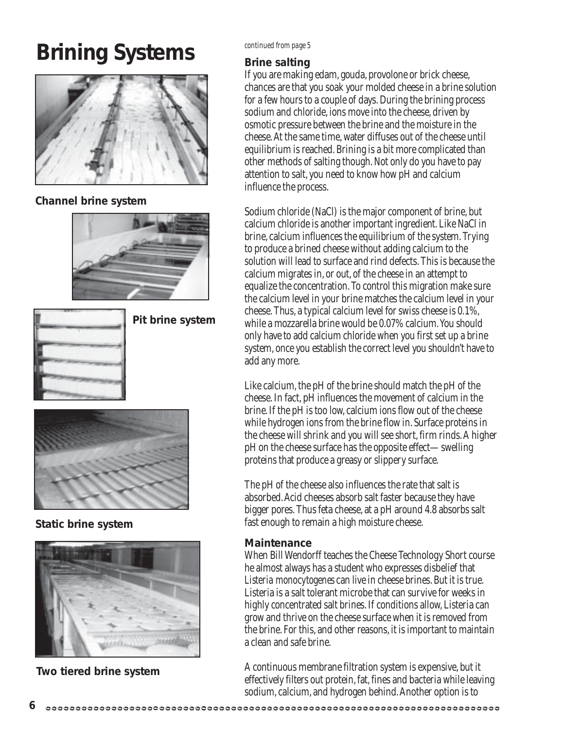### **Brining Systems**



#### **Channel brine system**





**Pit brine system**



**Static brine system**



**Two tiered brine system**

#### *continued from page 5*

#### **Brine salting**

If you are making edam, gouda, provolone or brick cheese, chances are that you soak your molded cheese in a brine solution for a few hours to a couple of days. During the brining process sodium and chloride, ions move into the cheese, driven by osmotic pressure between the brine and the moisture in the cheese. At the same time, water diffuses out of the cheese until equilibrium is reached. Brining is a bit more complicated than other methods of salting though. Not only do you have to pay attention to salt, you need to know how pH and calcium influence the process.

Sodium chloride (NaCl) is the major component of brine, but calcium chloride is another important ingredient. Like NaCl in brine, calcium influences the equilibrium of the system. Trying to produce a brined cheese without adding calcium to the solution will lead to surface and rind defects. This is because the calcium migrates in, or out, of the cheese in an attempt to equalize the concentration. To control this migration make sure the calcium level in your brine matches the calcium level in your cheese. Thus, a typical calcium level for swiss cheese is 0.1%, while a mozzarella brine would be 0.07% calcium. You should only have to add calcium chloride when you first set up a brine system, once you establish the correct level you shouldn't have to add any more.

Like calcium, the pH of the brine should match the pH of the cheese. In fact, pH influences the movement of calcium in the brine. If the pH is too low, calcium ions flow out of the cheese while hydrogen ions from the brine flow in. Surface proteins in the cheese will shrink and you will see short, firm rinds. A higher pH on the cheese surface has the opposite effect—swelling proteins that produce a greasy or slippery surface.

The pH of the cheese also influences the rate that salt is absorbed. Acid cheeses absorb salt faster because they have bigger pores. Thus feta cheese, at a pH around 4.8 absorbs salt fast enough to remain a high moisture cheese.

#### **Maintenance**

When Bill Wendorff teaches the Cheese Technology Short course he almost always has a student who expresses disbelief that *Listeria monocytogenes* can live in cheese brines. But it is true. Listeria is a salt tolerant microbe that can survive for weeks in highly concentrated salt brines. If conditions allow, Listeria can grow and thrive on the cheese surface when it is removed from the brine. For this, and other reasons, it is important to maintain a clean and safe brine.

A continuous membrane filtration system is expensive, but it effectively filters out protein, fat, fines and bacteria while leaving sodium, calcium, and hydrogen behind. Another option is to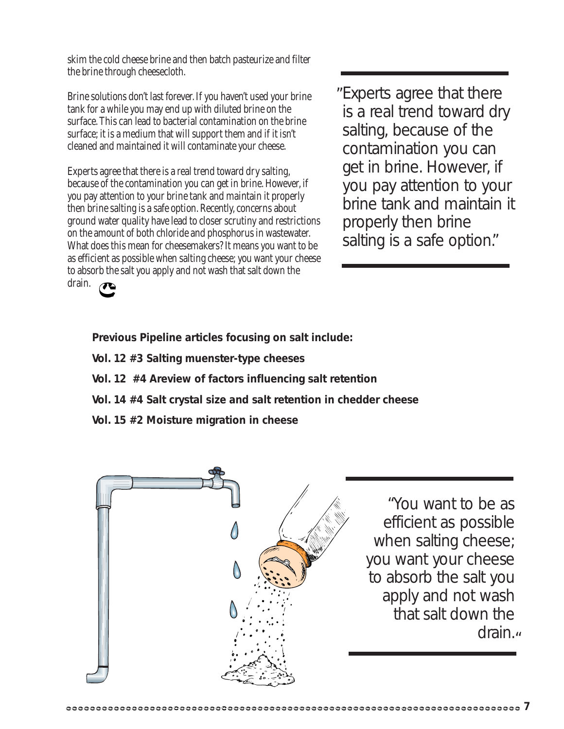skim the cold cheese brine and then batch pasteurize and filter the brine through cheesecloth.

Brine solutions don't last forever. If you haven't used your brine tank for a while you may end up with diluted brine on the surface. This can lead to bacterial contamination on the brine surface; it is a medium that will support them and if it isn't cleaned and maintained it will contaminate your cheese.

Experts agree that there is a real trend toward dry salting, because of the contamination you can get in brine. However, if you pay attention to your brine tank and maintain it properly then brine salting is a safe option. Recently, concerns about ground water quality have lead to closer scrutiny and restrictions on the amount of both chloride and phosphorus in wastewater. What does this mean for cheesemakers? It means you want to be as efficient as possible when salting cheese; you want your cheese to absorb the salt you apply and not wash that salt down the drain.

Experts agree that there " is a real trend toward dry salting, because of the contamination you can get in brine. However, if you pay attention to your brine tank and maintain it properly then brine salting is a safe option."

**Previous Pipeline articles focusing on salt include:**

- **Vol. 12 #3 Salting muenster-type cheeses**
- **Vol. 12 #4 Areview of factors influencing salt retention**
- **Vol. 14 #4 Salt crystal size and salt retention in chedder cheese**
- **Vol. 15 #2 Moisture migration in cheese**



"You want to be as efficient as possible when salting cheese; you want your cheese to absorb the salt you apply and not wash that salt down the drain.<sub>"</sub>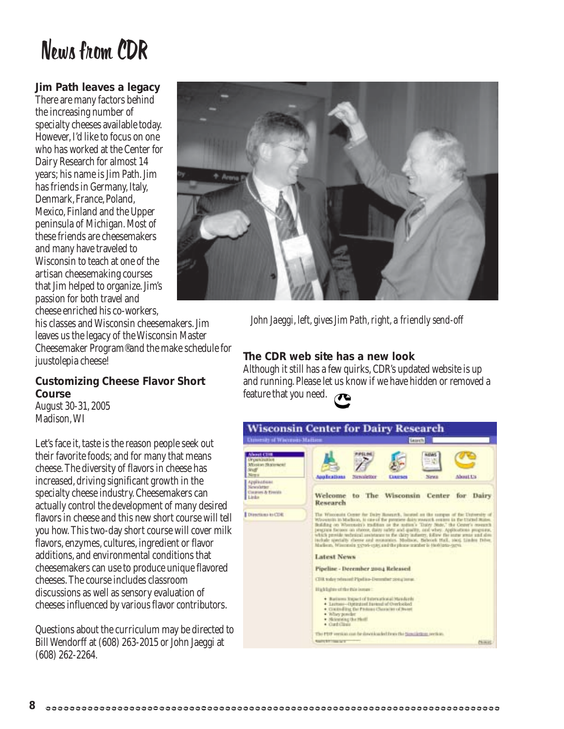### News from CDR

#### **Jim Path leaves a legacy**

There are many factors behind the increasing number of specialty cheeses available today. However, I'd like to focus on one who has worked at the Center for Dairy Research for almost 14 years; his name is Jim Path. Jim has friends in Germany, Italy, Denmark, France, Poland, Mexico, Finland and the Upper peninsula of Michigan. Most of these friends are cheesemakers and many have traveled to Wisconsin to teach at one of the artisan cheesemaking courses that Jim helped to organize. Jim's passion for both travel and cheese enriched his co-workers,

his classes and Wisconsin cheesemakers. Jim leaves us the legacy of the Wisconsin Master Cheesemaker Program®and the make schedule for juustolepia cheese!

#### **Customizing Cheese Flavor Short Course**

August 30-31, 2005 Madison, WI

Let's face it, taste is the reason people seek out their favorite foods; and for many that means cheese. The diversity of flavors in cheese has increased, driving significant growth in the specialty cheese industry. Cheesemakers can actually control the development of many desired flavors in cheese and this new short course will tell you how. This two-day short course will cover milk flavors, enzymes, cultures, ingredient or flavor additions, and environmental conditions that cheesemakers can use to produce unique flavored cheeses. The course includes classroom discussions as well as sensory evaluation of cheeses influenced by various flavor contributors.

Questions about the curriculum may be directed to Bill Wendorff at (608) 263-2015 or John Jaeggi at (608) 262-2264.



*John Jaeggi, left, gives Jim Path, right, a friendly send-off*

#### **The CDR web site has a new look**

Although it still has a few quirks, CDR's updated website is up and running. Please let us know if we have hidden or removed a feature that you need.

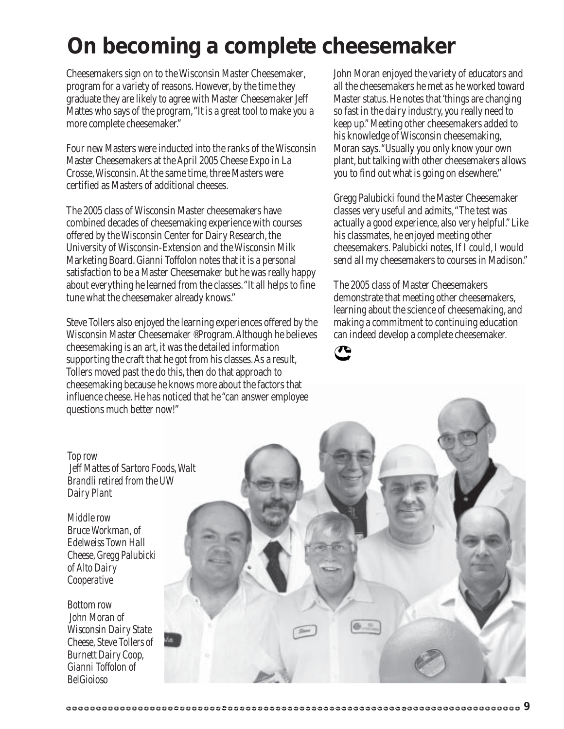### **On becoming a complete cheesemaker**

Cheesemakers sign on to the Wisconsin Master Cheesemaker' program for a variety of reasons. However, by the time they graduate they are likely to agree with Master Cheesemaker Jeff Mattes who says of the program, "It is a great tool to make you a more complete cheesemaker."

Four new Masters were inducted into the ranks of the Wisconsin Master Cheesemakers at the April 2005 Cheese Expo in La Crosse, Wisconsin. At the same time, three Masters were certified as Masters of additional cheeses.

The 2005 class of Wisconsin Master cheesemakers have combined decades of cheesemaking experience with courses offered by the Wisconsin Center for Dairy Research, the University of Wisconsin-Extension and the Wisconsin Milk Marketing Board. Gianni Toffolon notes that it is a personal satisfaction to be a Master Cheesemaker but he was really happy about everything he learned from the classes. "It all helps to fine tune what the cheesemaker already knows."

Steve Tollers also enjoyed the learning experiences offered by the Wisconsin Master Cheesemaker ®Program. Although he believes cheesemaking is an art, it was the detailed information supporting the craft that he got from his classes. As a result, Tollers moved past the do this, then do that approach to cheesemaking because he knows more about the factors that influence cheese. He has noticed that he "can answer employee questions much better now!"

John Moran enjoyed the variety of educators and all the cheesemakers he met as he worked toward Master status. He notes that 'things are changing so fast in the dairy industry, you really need to keep up." Meeting other cheesemakers added to his knowledge of Wisconsin cheesemaking, Moran says. "Usually you only know your own plant, but talking with other cheesemakers allows you to find out what is going on elsewhere."

Gregg Palubicki found the Master Cheesemaker classes very useful and admits, "The test was actually a good experience, also very helpful." Like his classmates, he enjoyed meeting other cheesemakers. Palubicki notes, If I could, I would send all my cheesemakers to courses in Madison."

The 2005 class of Master Cheesemakers demonstrate that meeting other cheesemakers, learning about the science of cheesemaking, and making a commitment to continuing education can indeed develop a complete cheesemaker.





*Top row Jeff Mattes of Sartoro Foods, Walt Brandli retired from the UW Dairy Plant*

*Middle row Bruce Workman, of Edelweiss Town Hall Cheese, Gregg Palubicki of Alto Dairy Cooperative*

*Bottom row John Moran of Wisconsin Dairy State Cheese, Steve Tollers of Burnett Dairy Coop, Gianni Toffolon of BelGioioso*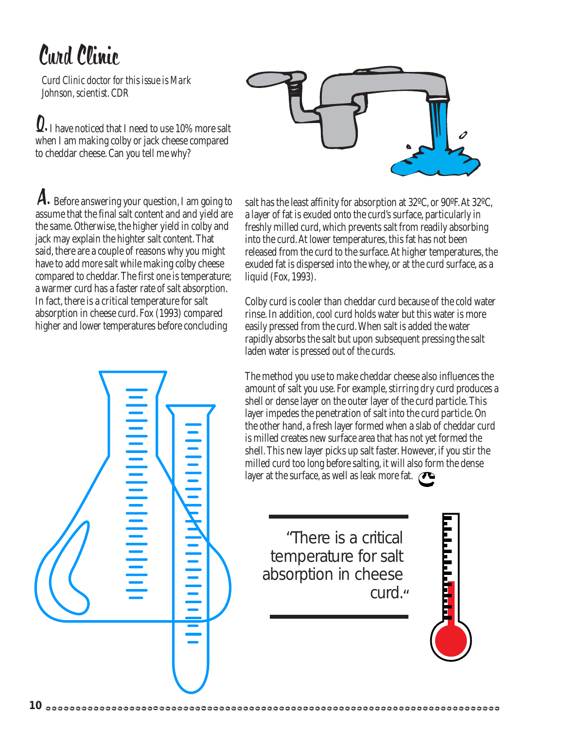## Curd Clinic

*Curd Clinic doctor for this issue is Mark Johnson, scientist. CDR*

 $\Omega\textnormal{-}$  I have noticed that I need to use 10% more salt when I am making colby or jack cheese compared to cheddar cheese. Can you tell me why?



A. Before answering your question, I am going to salt has the least affinity for absorption at 32°C, or 90°F. At 32°C, assume that the final salt content and and yield are the same. Otherwise, the higher yield in colby and jack may explain the highter salt content. That said, there are a couple of reasons why you might have to add more salt while making colby cheese compared to cheddar. The first one is temperature; a warmer curd has a faster rate of salt absorption. In fact, there is a critical temperature for salt absorption in cheese curd. Fox (1993) compared higher and lower temperatures before concluding

**Internet Internet** 

a layer of fat is exuded onto the curd's surface, particularly in freshly milled curd, which prevents salt from readily absorbing into the curd. At lower temperatures, this fat has not been released from the curd to the surface. At higher temperatures, the exuded fat is dispersed into the whey, or at the curd surface, as a liquid (Fox, 1993).

Colby curd is cooler than cheddar curd because of the cold water rinse. In addition, cool curd holds water but this water is more easily pressed from the curd. When salt is added the water rapidly absorbs the salt but upon subsequent pressing the salt laden water is pressed out of the curds.

The method you use to make cheddar cheese also influences the amount of salt you use. For example, stirring dry curd produces a shell or dense layer on the outer layer of the curd particle. This layer impedes the penetration of salt into the curd particle. On the other hand, a fresh layer formed when a slab of cheddar curd is milled creates new surface area that has not yet formed the shell. This new layer picks up salt faster. However, if you stir the milled curd too long before salting, it will also form the dense layer at the surface, as well as leak more fat.

"There is a critical temperature for salt absorption in cheese curd."

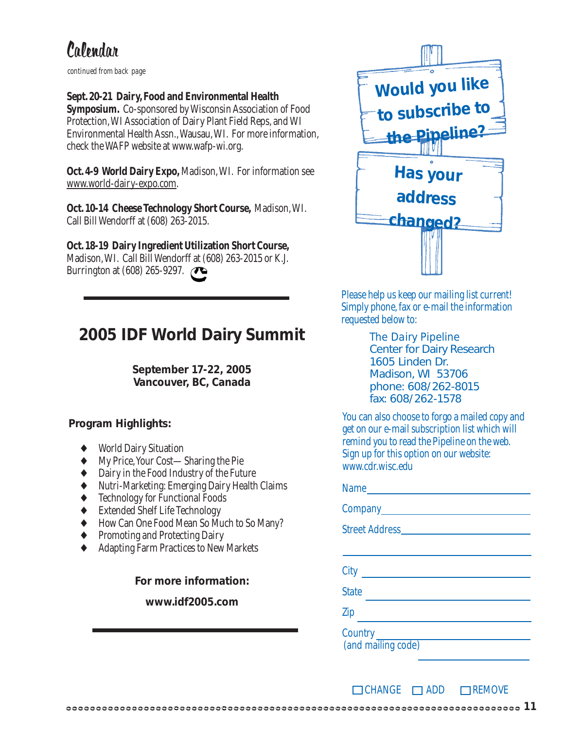### Calendar

*continued from back page*

#### **Sept. 20-21 Dairy, Food and Environmental Health**

**Symposium.** Co-sponsored by Wisconsin Association of Food Protection, WI Association of Dairy Plant Field Reps, and WI Environmental Health Assn., Wausau, WI. For more information, check the WAFP website at www.wafp-wi.org.

**Oct. 4-9 World Dairy Expo,** Madison, WI. For information see www.world-dairy-expo.com.

**Oct. 10-14 Cheese Technology Short Course,** Madison, WI. Call Bill Wendorff at (608) 263-2015.

#### **Oct. 18-19 Dairy Ingredient Utilization Short Course,**

Madison, WI. Call Bill Wendorff at (608) 263-2015 or K.J. Burrington at (608) 265-9297. **T** 

### **2005 IDF World Dairy Summit**

**September 17-22, 2005 Vancouver, BC, Canada**

#### **Program Highlights:**

- **World Dairy Situation**
- ♦ My Price, Your Cost—Sharing the Pie
- Dairy in the Food Industry of the Future
- Nutri-Marketing: Emerging Dairy Health Claims
- **Technology for Functional Foods**
- **Extended Shelf Life Technology**
- How Can One Food Mean So Much to So Many?
- Promoting and Protecting Dairy
- Adapting Farm Practices to New Markets

**For more information:**

#### **www.idf2005.com**



Please help us keep our mailing list current! Simply phone, fax or e-mail the information requested below to:

> *The Dairy Pipeline* Center for Dairy Research 1605 Linden Dr. Madison, WI 53706 phone: 608/262-8015 fax: 608/262-1578

You can also choose to forgo a mailed copy and get on our e-mail subscription list which will remind you to read the Pipeline on the web. Sign up for this option on our website: www.cdr.wisc.edu

| Name               |
|--------------------|
|                    |
|                    |
|                    |
| City               |
| <b>State</b>       |
| Zip                |
| (and mailing code) |

 $\Box$ CHANGE  $\Box$ ADD  $\Box$ REMOVE